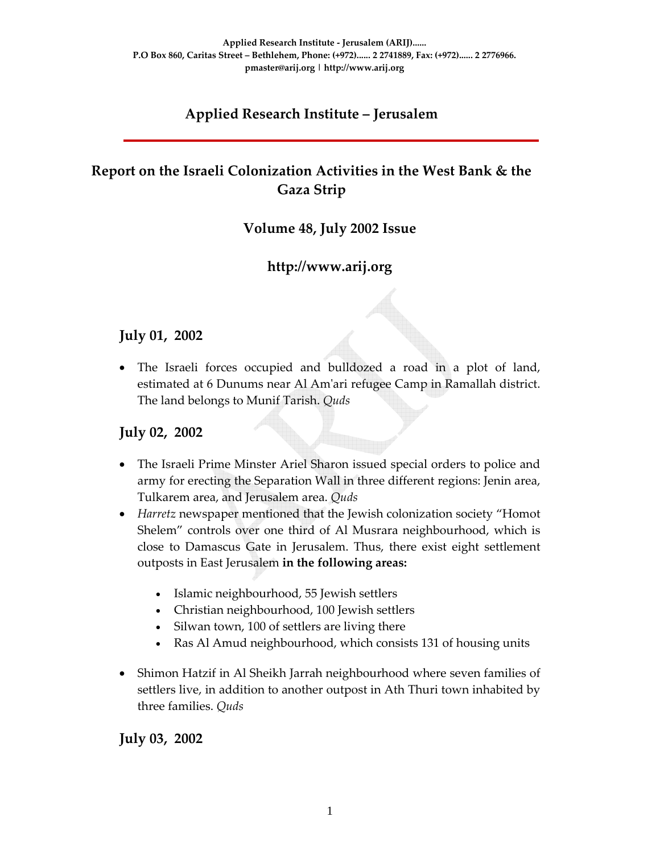# **Applied Research Institute – Jerusalem**

# **Report on the Israeli Colonization Activities in the West Bank & the Gaza Strip**

### **Volume 48, July 2002 Issue**

## **http://www.arij.org**

#### **July 01, 2002**

• The Israeli forces occupied and bulldozed a road in a plot of land, estimated at 6 Dunums near Al Amʹari refugee Camp in Ramallah district. The land belongs to Munif Tarish. *Quds*

#### **July 02, 2002**

- The Israeli Prime Minster Ariel Sharon issued special orders to police and army for erecting the Separation Wall in three different regions: Jenin area, Tulkarem area, and Jerusalem area. *Quds*
- *Harretz* newspaper mentioned that the Jewish colonization society "Homot Shelem" controls over one third of Al Musrara neighbourhood, which is close to Damascus Gate in Jerusalem. Thus, there exist eight settlement outposts in East Jerusalem **in the following areas:**
	- Islamic neighbourhood, 55 Jewish settlers
	- Christian neighbourhood, 100 Jewish settlers
	- Silwan town, 100 of settlers are living there
	- Ras Al Amud neighbourhood, which consists 131 of housing units
- Shimon Hatzif in Al Sheikh Jarrah neighbourhood where seven families of settlers live, in addition to another outpost in Ath Thuri town inhabited by three families. *Quds*

**July 03, 2002**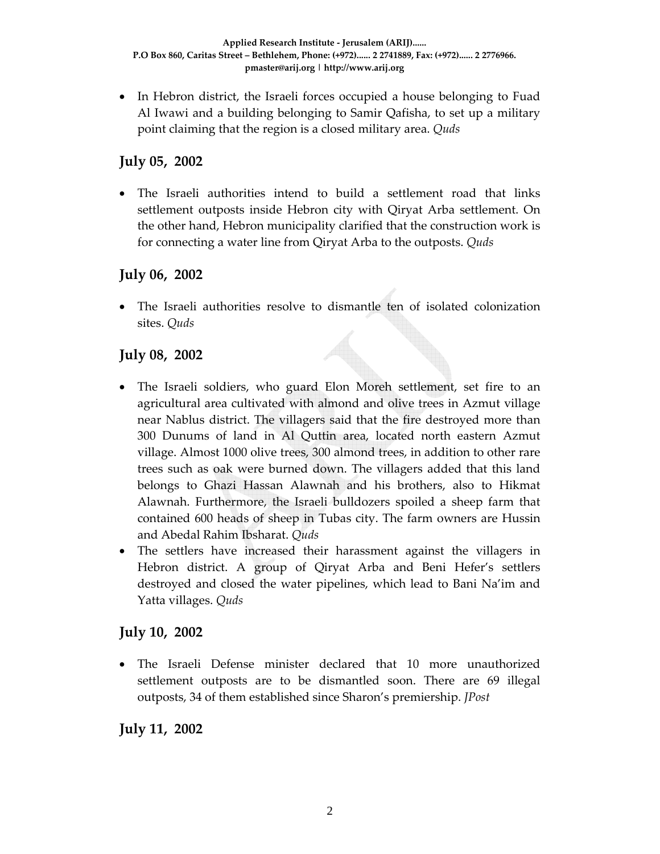• In Hebron district, the Israeli forces occupied a house belonging to Fuad Al Iwawi and a building belonging to Samir Qafisha, to set up a military point claiming that the region is a closed military area. *Quds*

#### **July 05, 2002**

• The Israeli authorities intend to build a settlement road that links settlement outposts inside Hebron city with Qiryat Arba settlement. On the other hand, Hebron municipality clarified that the construction work is for connecting a water line from Qiryat Arba to the outposts. *Quds*

### **July 06, 2002**

• The Israeli authorities resolve to dismantle ten of isolated colonization sites. *Quds* 

## **July 08, 2002**

- The Israeli soldiers, who guard Elon Moreh settlement, set fire to an agricultural area cultivated with almond and olive trees in Azmut village near Nablus district. The villagers said that the fire destroyed more than 300 Dunums of land in Al Quttin area, located north eastern Azmut village. Almost 1000 olive trees, 300 almond trees, in addition to other rare trees such as oak were burned down. The villagers added that this land belongs to Ghazi Hassan Alawnah and his brothers, also to Hikmat Alawnah. Furthermore, the Israeli bulldozers spoiled a sheep farm that contained 600 heads of sheep in Tubas city. The farm owners are Hussin and Abedal Rahim Ibsharat. *Quds*
- The settlers have increased their harassment against the villagers in Hebron district. A group of Qiryat Arba and Beni Hefer's settlers destroyed and closed the water pipelines, which lead to Bani Na'im and Yatta villages. *Quds*

#### **July 10, 2002**

• The Israeli Defense minister declared that 10 more unauthorized settlement outposts are to be dismantled soon. There are 69 illegal outposts, 34 of them established since Sharon's premiership. *JPost*

**July 11, 2002**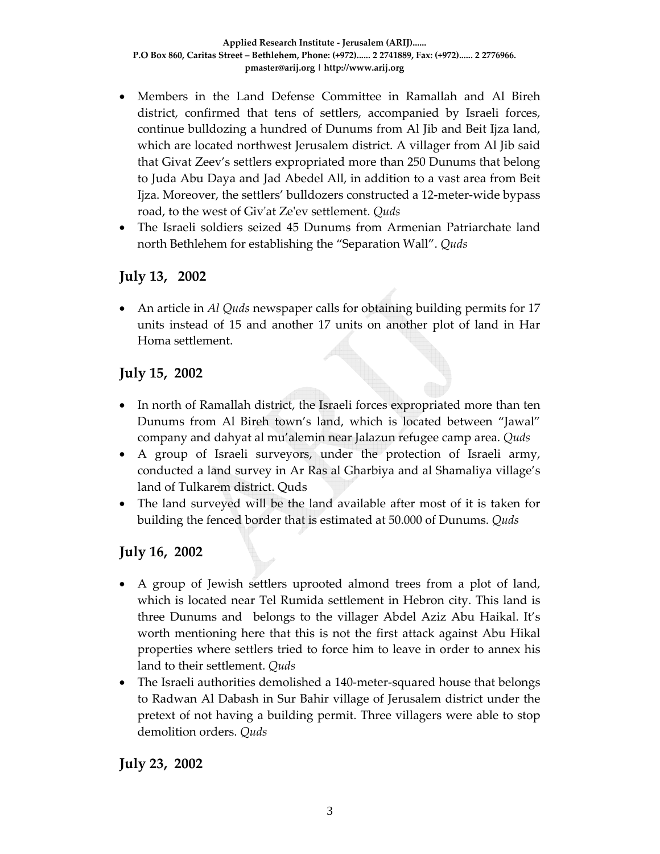- Members in the Land Defense Committee in Ramallah and Al Bireh district, confirmed that tens of settlers, accompanied by Israeli forces, continue bulldozing a hundred of Dunums from Al Jib and Beit Ijza land, which are located northwest Jerusalem district. A villager from Al Jib said that Givat Zeev's settlers expropriated more than 250 Dunums that belong to Juda Abu Daya and Jad Abedel All, in addition to a vast area from Beit Ijza. Moreover, the settlers' bulldozers constructed a 12‐meter‐wide bypass road, to the west of Givʹat Zeʹev settlement. *Quds*
- The Israeli soldiers seized 45 Dunums from Armenian Patriarchate land north Bethlehem for establishing the "Separation Wall". *Quds*

#### **July 13, 2002**

• An article in *Al Quds* newspaper calls for obtaining building permits for 17 units instead of 15 and another 17 units on another plot of land in Har Homa settlement.

#### **July 15, 2002**

- In north of Ramallah district, the Israeli forces expropriated more than ten Dunums from Al Bireh town's land, which is located between "Jawal" company and dahyat al mu'alemin near Jalazun refugee camp area. *Quds*
- A group of Israeli surveyors, under the protection of Israeli army, conducted a land survey in Ar Ras al Gharbiya and al Shamaliya village's land of Tulkarem district. Quds
- The land surveyed will be the land available after most of it is taken for building the fenced border that is estimated at 50.000 of Dunums. *Quds*

#### **July 16, 2002**

- A group of Jewish settlers uprooted almond trees from a plot of land, which is located near Tel Rumida settlement in Hebron city. This land is three Dunums and belongs to the villager Abdel Aziz Abu Haikal. It's worth mentioning here that this is not the first attack against Abu Hikal properties where settlers tried to force him to leave in order to annex his land to their settlement. *Quds*
- The Israeli authorities demolished a 140-meter-squared house that belongs to Radwan Al Dabash in Sur Bahir village of Jerusalem district under the pretext of not having a building permit. Three villagers were able to stop demolition orders. *Quds*

**July 23, 2002**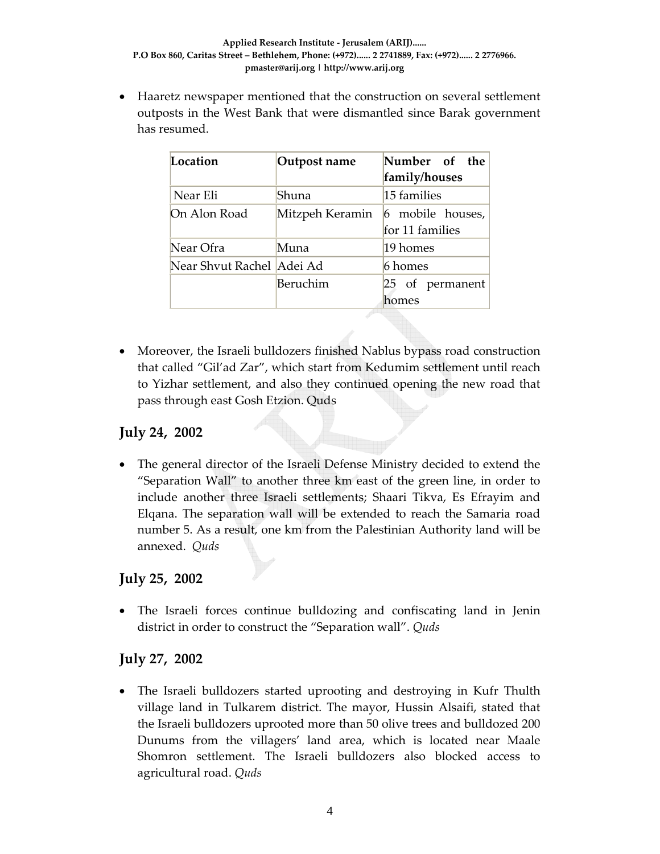• Haaretz newspaper mentioned that the construction on several settlement outposts in the West Bank that were dismantled since Barak government has resumed.

| Location                   | Outpost name    | Number of the<br>family/houses      |  |  |
|----------------------------|-----------------|-------------------------------------|--|--|
| Near Eli                   | Shuna           | 15 families                         |  |  |
| On Alon Road               | Mitzpeh Keramin | 6 mobile houses,<br>for 11 families |  |  |
| Near Ofra                  | Muna            | 19 homes                            |  |  |
| Near Shvut Rachel  Adei Ad |                 | 6 homes                             |  |  |
|                            | Beruchim        | 25 of permanent<br>homes            |  |  |

• Moreover, the Israeli bulldozers finished Nablus bypass road construction that called "Gil'ad Zar", which start from Kedumim settlement until reach to Yizhar settlement, and also they continued opening the new road that pass through east Gosh Etzion. Quds

#### **July 24, 2002**

• The general director of the Israeli Defense Ministry decided to extend the "Separation Wall" to another three km east of the green line, in order to include another three Israeli settlements; Shaari Tikva, Es Efrayim and Elqana. The separation wall will be extended to reach the Samaria road number 5. As a result, one km from the Palestinian Authority land will be annexed. *Quds*

#### **July 25, 2002**

• The Israeli forces continue bulldozing and confiscating land in Jenin district in order to construct the "Separation wall". *Quds*

#### **July 27, 2002**

• The Israeli bulldozers started uprooting and destroying in Kufr Thulth village land in Tulkarem district. The mayor, Hussin Alsaifi, stated that the Israeli bulldozers uprooted more than 50 olive trees and bulldozed 200 Dunums from the villagers' land area, which is located near Maale Shomron settlement. The Israeli bulldozers also blocked access to agricultural road. *Quds*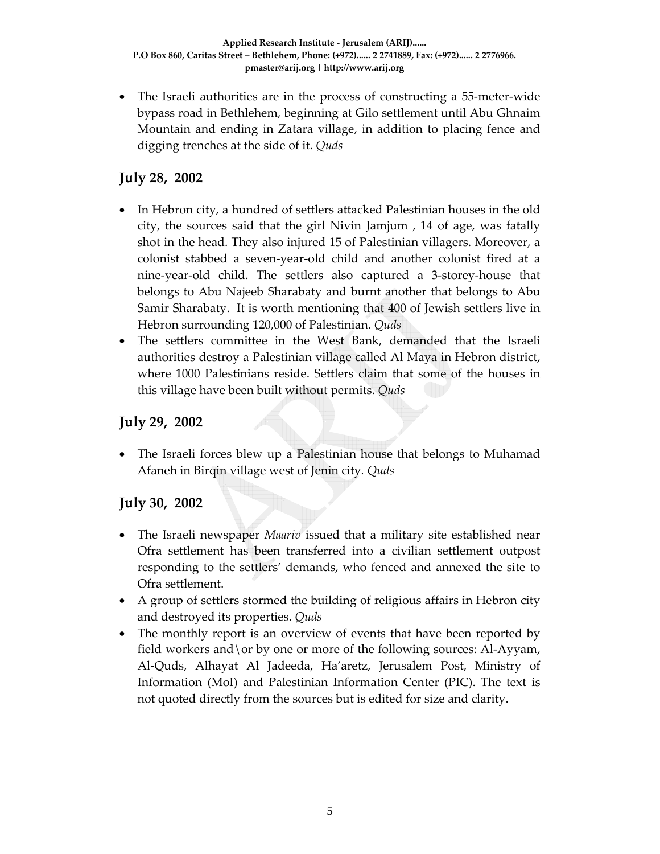• The Israeli authorities are in the process of constructing a 55-meter-wide bypass road in Bethlehem, beginning at Gilo settlement until Abu Ghnaim Mountain and ending in Zatara village, in addition to placing fence and digging trenches at the side of it. *Quds*

### **July 28, 2002**

- In Hebron city, a hundred of settlers attacked Palestinian houses in the old city, the sources said that the girl Nivin Jamjum , 14 of age, was fatally shot in the head. They also injured 15 of Palestinian villagers. Moreover, a colonist stabbed a seven‐year‐old child and another colonist fired at a nine‐year‐old child. The settlers also captured a 3‐storey‐house that belongs to Abu Najeeb Sharabaty and burnt another that belongs to Abu Samir Sharabaty. It is worth mentioning that 400 of Jewish settlers live in Hebron surrounding 120,000 of Palestinian. *Quds*
- The settlers committee in the West Bank, demanded that the Israeli authorities destroy a Palestinian village called Al Maya in Hebron district, where 1000 Palestinians reside. Settlers claim that some of the houses in this village have been built without permits. *Quds*

#### **July 29, 2002**

• The Israeli forces blew up a Palestinian house that belongs to Muhamad Afaneh in Birqin village west of Jenin city*. Quds*

#### **July 30, 2002**

- The Israeli newspaper *Maariv* issued that a military site established near Ofra settlement has been transferred into a civilian settlement outpost responding to the settlers' demands, who fenced and annexed the site to Ofra settlement.
- A group of settlers stormed the building of religious affairs in Hebron city and destroyed its properties. *Quds*
- The monthly report is an overview of events that have been reported by field workers and \or by one or more of the following sources: Al-Ayyam, Al‐Quds, Alhayat Al Jadeeda, Ha'aretz, Jerusalem Post, Ministry of Information (MoI) and Palestinian Information Center (PIC). The text is not quoted directly from the sources but is edited for size and clarity.